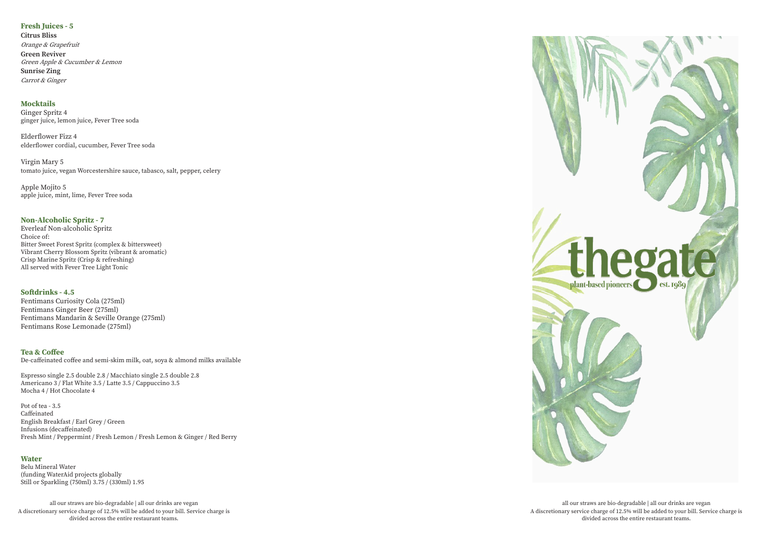#### **Tea & Coffee**

De-caffeinated coffee and semi-skim milk, oat, soya & almond milks available

Espresso single 2.5 double 2.8 / Macchiato single 2.5 double 2.8 Americano 3 / Flat White 3.5 / Latte 3.5 / Cappuccino 3.5 Mocha 4 / Hot Chocolate 4

Pot of tea - 3.5 Caffeinated English Breakfast / Earl Grey / Green Infusions (decaffeinated) Fresh Mint / Peppermint / Fresh Lemon / Fresh Lemon & Ginger / Red Berry

# **Fresh Juices - 5**

**Citrus Bliss** Orange & Grapefruit **Green Reviver** Green Apple & Cucumber & Lemon **Sunrise Zing** Carrot & Ginger

#### **Water**

Belu Mineral Water (funding WaterAid projects globally Still or Sparkling (750ml) 3.75 / (330ml) 1.95

# **Mocktails**

Ginger Spritz 4 ginger juice, lemon juice, Fever Tree soda

Elderflower Fizz 4 elderflower cordial, cucumber, Fever Tree soda

Virgin Mary 5 tomato juice, vegan Worcestershire sauce, tabasco, salt, pepper, celery

Apple Mojito 5 apple juice, mint, lime, Fever Tree soda

### **Non-Alcoholic Spritz - 7**

Everleaf Non-alcoholic Spritz Choice of: Bitter Sweet Forest Spritz (complex & bittersweet) Vibrant Cherry Blossom Spritz (vibrant & aromatic) Crisp Marine Spritz (Crisp & refreshing) All served with Fever Tree Light Tonic

# **Softdrinks - 4.5**

Fentimans Curiosity Cola (275ml) Fentimans Ginger Beer (275ml) Fentimans Mandarin & Seville Orange (275ml) Fentimans Rose Lemonade (275ml)

all our straws are bio-degradable | all our drinks are vegan A discretionary service charge of 12.5% will be added to your bill. Service charge is divided across the entire restaurant teams.